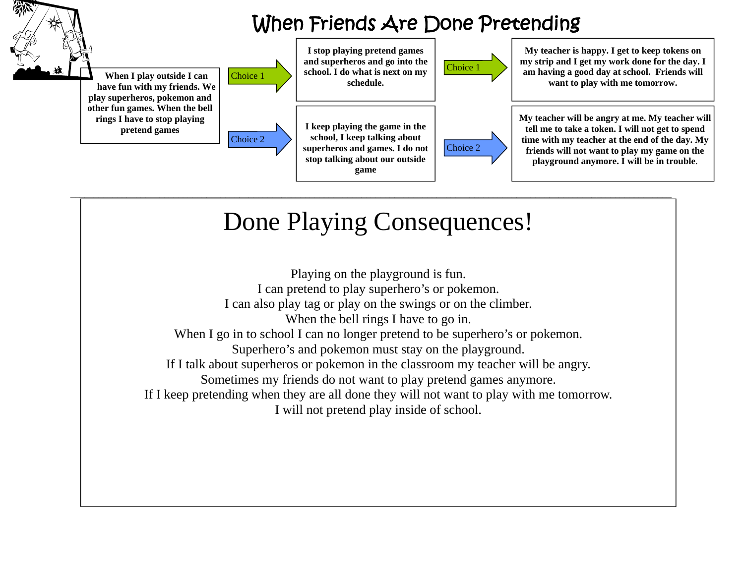

## Done Playing Consequences!

Playing on the playground is fun. I can pretend to play superhero's or pokemon. I can also play tag or play on the swings or on the climber. When the bell rings I have to go in. When I go in to school I can no longer pretend to be superhero's or pokemon. Superhero's and pokemon must stay on the playground. If I talk about superheros or pokemon in the classroom my teacher will be angry. Sometimes my friends do not want to play pretend games anymore. If I keep pretending when they are all done they will not want to play with me tomorrow. I will not pretend play inside of school.